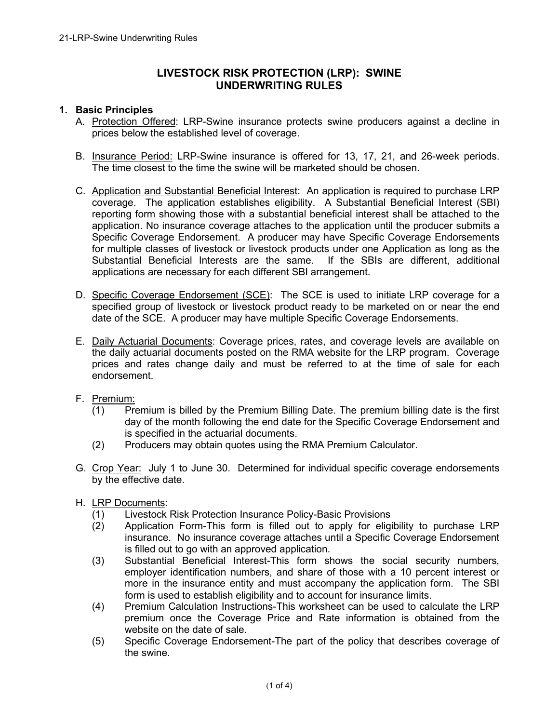# **LIVESTOCK RISK PROTECTION (LRP): SWINE UNDERWRITING RULES**

### **1. Basic Principles**

- A. Protection Offered: LRP-Swine insurance protects swine producers against a decline in prices below the established level of coverage.
- B. Insurance Period: LRP-Swine insurance is offered for 13, 17, 21, and 26-week periods. The time closest to the time the swine will be marketed should be chosen.
- C. Application and Substantial Beneficial Interest: An application is required to purchase LRP coverage. The application establishes eligibility. A Substantial Beneficial Interest (SBI) reporting form showing those with a substantial beneficial interest shall be attached to the application. No insurance coverage attaches to the application until the producer submits a Specific Coverage Endorsement. A producer may have Specific Coverage Endorsements for multiple classes of livestock or livestock products under one Application as long as the Substantial Beneficial Interests are the same. If the SBIs are different, additional applications are necessary for each different SBI arrangement.
- D. Specific Coverage Endorsement (SCE): The SCE is used to initiate LRP coverage for a specified group of livestock or livestock product ready to be marketed on or near the end date of the SCE. A producer may have multiple Specific Coverage Endorsements.
- E. Daily Actuarial Documents: Coverage prices, rates, and coverage levels are available on the daily actuarial documents posted on the RMA website for the LRP program. Coverage prices and rates change daily and must be referred to at the time of sale for each endorsement.
- F. Premium:
	- (1) Premium is billed by the Premium Billing Date. The premium billing date is the first day of the month following the end date for the Specific Coverage Endorsement and is specified in the actuarial documents.
	- (2) Producers may obtain quotes using the RMA Premium Calculator.
- G. Crop Year: July 1 to June 30. Determined for individual specific coverage endorsements by the effective date.
- H. LRP Documents:
	- (1) Livestock Risk Protection Insurance Policy-Basic Provisions
	- (2) Application Form-This form is filled out to apply for eligibility to purchase LRP insurance. No insurance coverage attaches until a Specific Coverage Endorsement is filled out to go with an approved application.
	- (3) Substantial Beneficial Interest-This form shows the social security numbers, employer identification numbers, and share of those with a 10 percent interest or more in the insurance entity and must accompany the application form. The SBI form is used to establish eligibility and to account for insurance limits.
	- (4) Premium Calculation Instructions-This worksheet can be used to calculate the LRP premium once the Coverage Price and Rate information is obtained from the website on the date of sale.
	- (5) Specific Coverage Endorsement-The part of the policy that describes coverage of the swine.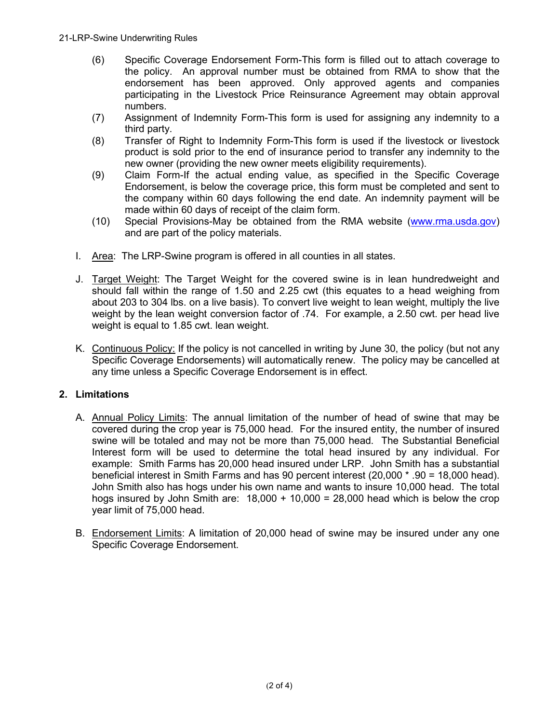- (6) Specific Coverage Endorsement Form-This form is filled out to attach coverage to the policy. An approval number must be obtained from RMA to show that the endorsement has been approved. Only approved agents and companies participating in the Livestock Price Reinsurance Agreement may obtain approval numbers.
- (7) Assignment of Indemnity Form-This form is used for assigning any indemnity to a third party.
- (8) Transfer of Right to Indemnity Form-This form is used if the livestock or livestock product is sold prior to the end of insurance period to transfer any indemnity to the new owner (providing the new owner meets eligibility requirements).
- (9) Claim Form-If the actual ending value, as specified in the Specific Coverage Endorsement, is below the coverage price, this form must be completed and sent to the company within 60 days following the end date. An indemnity payment will be made within 60 days of receipt of the claim form.
- (10) Special Provisions-May be obtained from the RMA website [\(www.rma.usda.gov\)](https://www.rma.usda.gov/) and are part of the policy materials.
- I. Area: The LRP-Swine program is offered in all counties in all states.
- J. Target Weight: The Target Weight for the covered swine is in lean hundredweight and should fall within the range of 1.50 and 2.25 cwt (this equates to a head weighing from about 203 to 304 lbs. on a live basis). To convert live weight to lean weight, multiply the live weight by the lean weight conversion factor of .74. For example, a 2.50 cwt. per head live weight is equal to 1.85 cwt. lean weight.
- K. Continuous Policy: If the policy is not cancelled in writing by June 30, the policy (but not any Specific Coverage Endorsements) will automatically renew. The policy may be cancelled at any time unless a Specific Coverage Endorsement is in effect.

## **2. Limitations**

- A. Annual Policy Limits: The annual limitation of the number of head of swine that may be covered during the crop year is 75,000 head. For the insured entity, the number of insured swine will be totaled and may not be more than 75,000 head. The Substantial Beneficial Interest form will be used to determine the total head insured by any individual. For example: Smith Farms has 20,000 head insured under LRP. John Smith has a substantial beneficial interest in Smith Farms and has 90 percent interest (20,000 \* .90 = 18,000 head). John Smith also has hogs under his own name and wants to insure 10,000 head. The total hogs insured by John Smith are:  $18,000 + 10,000 = 28,000$  head which is below the crop year limit of 75,000 head.
- B. Endorsement Limits: A limitation of 20,000 head of swine may be insured under any one Specific Coverage Endorsement.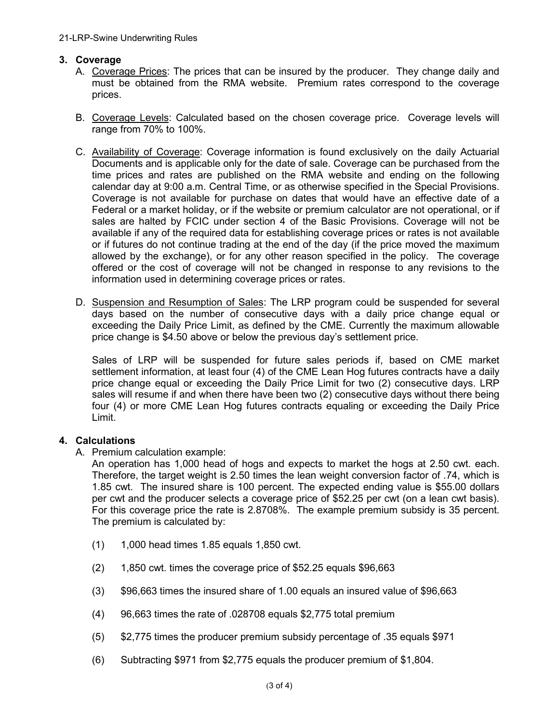### **3. Coverage**

- A. Coverage Prices: The prices that can be insured by the producer. They change daily and must be obtained from the RMA website. Premium rates correspond to the coverage prices.
- B. Coverage Levels: Calculated based on the chosen coverage price. Coverage levels will range from 70% to 100%.
- C. Availability of Coverage: Coverage information is found exclusively on the daily Actuarial Documents and is applicable only for the date of sale. Coverage can be purchased from the time prices and rates are published on the RMA website and ending on the following calendar day at 9:00 a.m. Central Time, or as otherwise specified in the Special Provisions. Coverage is not available for purchase on dates that would have an effective date of a Federal or a market holiday, or if the website or premium calculator are not operational, or if sales are halted by FCIC under section 4 of the Basic Provisions. Coverage will not be available if any of the required data for establishing coverage prices or rates is not available or if futures do not continue trading at the end of the day (if the price moved the maximum allowed by the exchange), or for any other reason specified in the policy. The coverage offered or the cost of coverage will not be changed in response to any revisions to the information used in determining coverage prices or rates.
- D. Suspension and Resumption of Sales: The LRP program could be suspended for several days based on the number of consecutive days with a daily price change equal or exceeding the Daily Price Limit, as defined by the CME. Currently the maximum allowable price change is \$4.50 above or below the previous day's settlement price.

Sales of LRP will be suspended for future sales periods if, based on CME market settlement information, at least four (4) of the CME Lean Hog futures contracts have a daily price change equal or exceeding the Daily Price Limit for two (2) consecutive days. LRP sales will resume if and when there have been two (2) consecutive days without there being four (4) or more CME Lean Hog futures contracts equaling or exceeding the Daily Price Limit.

### **4. Calculations**

A. Premium calculation example:

An operation has 1,000 head of hogs and expects to market the hogs at 2.50 cwt. each. Therefore, the target weight is 2.50 times the lean weight conversion factor of .74, which is 1.85 cwt. The insured share is 100 percent. The expected ending value is \$55.00 dollars per cwt and the producer selects a coverage price of \$52.25 per cwt (on a lean cwt basis). For this coverage price the rate is 2.8708%. The example premium subsidy is 35 percent. The premium is calculated by:

- (1) 1,000 head times 1.85 equals 1,850 cwt.
- $(2)$  1,850 cwt. times the coverage price of \$52.25 equals \$96,663
- (3) \$96,663 times the insured share of 1.00 equals an insured value of \$96,663
- (4) 96,663 times the rate of .028708 equals \$2,775 total premium
- (5) \$2,775 times the producer premium subsidy percentage of .35 equals \$971
- (6) Subtracting \$971 from \$2,775 equals the producer premium of \$1,804.